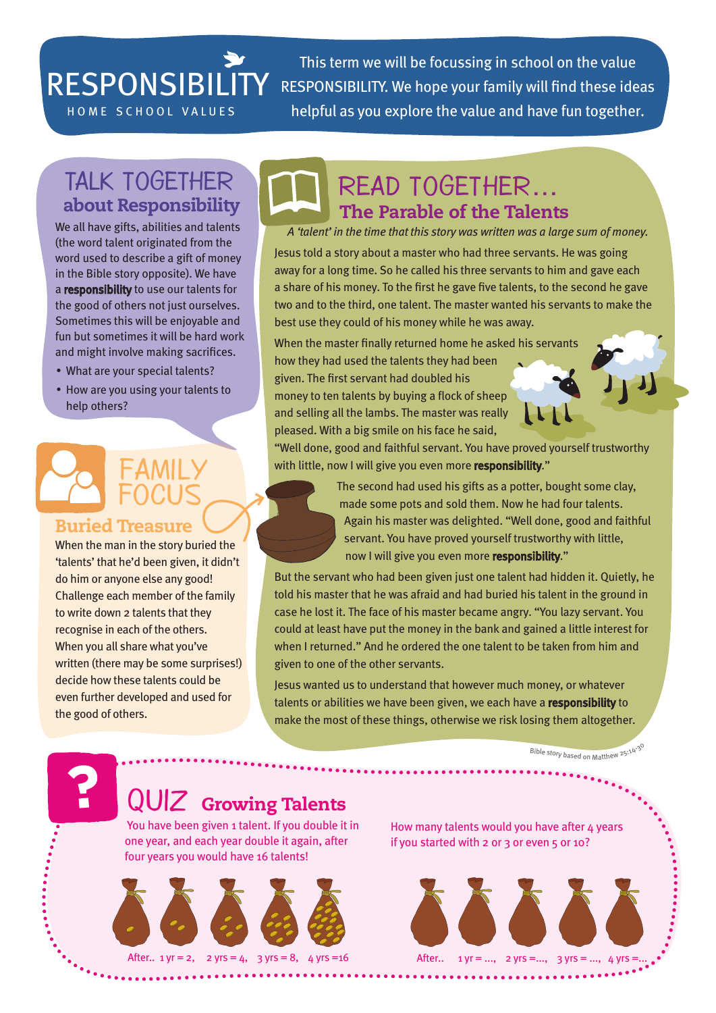# **RESPONSIBILITY**

This term we will be focussing in school on the value RESPONSIBILITY. We hope your family will find these ideas HOME SCHOOL VALUES helpful as you explore the value and have fun together.

#### Talk together about Responsibility

We all have gifts, abilities and talents (the word talent originated from the word used to describe a gift of money in the Bible story opposite). We have a responsibility to use our talents for the good of others not just ourselves. Sometimes this will be enjoyable and fun but sometimes it will be hard work and might involve making sacrifices.

- What are your special talents?
- How are you using your talents to help others?

### Family focus **Buried Treasure**

When the man in the story buried the 'talents' that he'd been given, it didn't do him or anyone else any good! Challenge each member of the family to write down 2 talents that they recognise in each of the others. When you all share what you've written (there may be some surprises!) decide how these talents could be even further developed and used for the good of others.

## The Parable of the Talents Read together…

*A 'talent' in the time that this story was written was a large sum of money.* 

Jesus told a story about a master who had three servants. He was going away for a long time. So he called his three servants to him and gave each a share of his money. To the first he gave five talents, to the second he gave two and to the third, one talent. The master wanted his servants to make the best use they could of his money while he was away.

When the master finally returned home he asked his servants how they had used the talents they had been given. The first servant had doubled his

money to ten talents by buying a flock of sheep and selling all the lambs. The master was really pleased. With a big smile on his face he said,

"Well done, good and faithful servant. You have proved yourself trustworthy with little, now I will give you even more responsibility."

> The second had used his gifts as a potter, bought some clay, made some pots and sold them. Now he had four talents. Again his master was delighted. "Well done, good and faithful servant. You have proved yourself trustworthy with little, now I will give you even more responsibility."

 $\mathbf{r}$ 

But the servant who had been given just one talent had hidden it. Quietly, he told his master that he was afraid and had buried his talent in the ground in case he lost it. The face of his master became angry. "You lazy servant. You could at least have put the money in the bank and gained a little interest for when I returned." And he ordered the one talent to be taken from him and given to one of the other servants.

Jesus wanted us to understand that however much money, or whatever talents or abilities we have been given, we each have a responsibility to make the most of these things, otherwise we risk losing them altogether.

Bible story based on Matthew 25:14

## QUIZ Growing Talents

You have been given 1 talent. If you double it in one year, and each year double it again, after four years you would have 16 talents!



........





How many talents would you have after 4 years if you started with 2 or 3 or even 5 or 10?